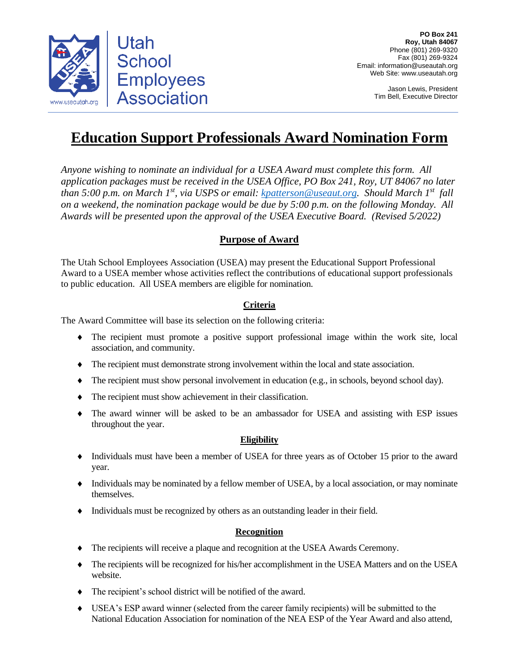

Jason Lewis, President Tim Bell, Executive Director

# **Education Support Professionals Award Nomination Form**

*Anyone wishing to nominate an individual for a USEA Award must complete this form. All application packages must be received in the USEA Office, PO Box 241, Roy, UT 84067 no later than 5:00 p.m. on March 1<sup>st</sup>, via USPS or email: <u>kpatterson@useaut.org</u>. Should March 1<sup>st</sup> fall on a weekend, the nomination package would be due by 5:00 p.m. on the following Monday. All Awards will be presented upon the approval of the USEA Executive Board. (Revised 5/2022)*

## **Purpose of Award**

The Utah School Employees Association (USEA) may present the Educational Support Professional Award to a USEA member whose activities reflect the contributions of educational support professionals to public education.All USEA members are eligible for nomination.

### **Criteria**

The Award Committee will base its selection on the following criteria:

- The recipient must promote a positive support professional image within the work site, local association, and community.
- The recipient must demonstrate strong involvement within the local and state association.
- The recipient must show personal involvement in education (e.g., in schools, beyond school day).
- The recipient must show achievement in their classification.
- The award winner will be asked to be an ambassador for USEA and assisting with ESP issues throughout the year.

#### **Eligibility**

- Individuals must have been a member of USEA for three years as of October 15 prior to the award year.
- Individuals may be nominated by a fellow member of USEA, by a local association, or may nominate themselves.
- Individuals must be recognized by others as an outstanding leader in their field.

#### **Recognition**

- The recipients will receive a plaque and recognition at the USEA Awards Ceremony.
- The recipients will be recognized for his/her accomplishment in the USEA Matters and on the USEA website.
- The recipient's school district will be notified of the award.
- USEA's ESP award winner (selected from the career family recipients) will be submitted to the National Education Association for nomination of the NEA ESP of the Year Award and also attend,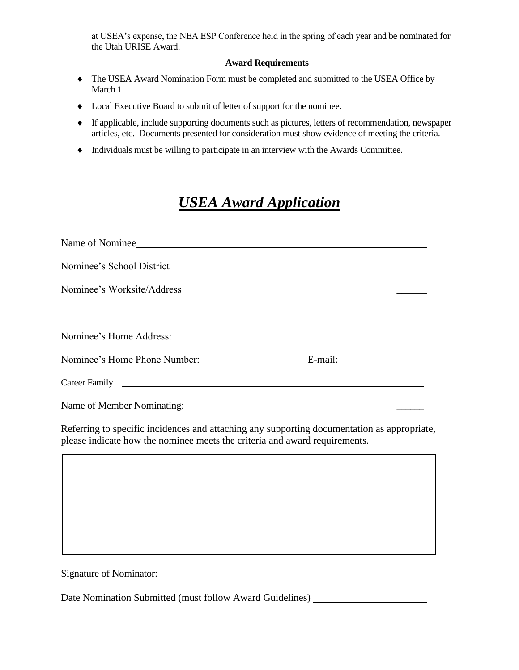at USEA's expense, the NEA ESP Conference held in the spring of each year and be nominated for the Utah URISE Award.

#### **Award Requirements**

- The USEA Award Nomination Form must be completed and submitted to the USEA Office by March 1.
- Local Executive Board to submit of letter of support for the nominee.
- If applicable, include supporting documents such as pictures, letters of recommendation, newspaper articles, etc. Documents presented for consideration must show evidence of meeting the criteria.
- Individuals must be willing to participate in an interview with the Awards Committee.

## *USEA Award Application*

| Name of Nominee                                                                                                                                                                                                                                                                                                                                        |  |  |
|--------------------------------------------------------------------------------------------------------------------------------------------------------------------------------------------------------------------------------------------------------------------------------------------------------------------------------------------------------|--|--|
|                                                                                                                                                                                                                                                                                                                                                        |  |  |
|                                                                                                                                                                                                                                                                                                                                                        |  |  |
| <u> Alexandro de la contrada de la contrada de la contrada de la contrada de la contrada de la contrada de la co</u><br>Nominee's Home Address: North and the Contract of the Contract of the Contract of the Contract of the Contract of the Contract of the Contract of the Contract of the Contract of the Contract of the Contract of the Contract |  |  |
| Nominee's Home Phone Number: E-mail:                                                                                                                                                                                                                                                                                                                   |  |  |
| Career Family <u>and the contract of the contract of the contract of the contract of the contract of the contract of the contract of the contract of the contract of the contract of the contract of the contract of the contrac</u>                                                                                                                   |  |  |
|                                                                                                                                                                                                                                                                                                                                                        |  |  |
| $\mathbf{p}$ , the state $\mathbf{p}$ , the state $\mathbf{p}$ , the state $\mathbf{p}$ , the state $\mathbf{p}$ , the state $\mathbf{p}$                                                                                                                                                                                                              |  |  |

Referring to specific incidences and attaching any supporting documentation as appropriate, please indicate how the nominee meets the criteria and award requirements.

Signature of Nominator:

Date Nomination Submitted (must follow Award Guidelines)